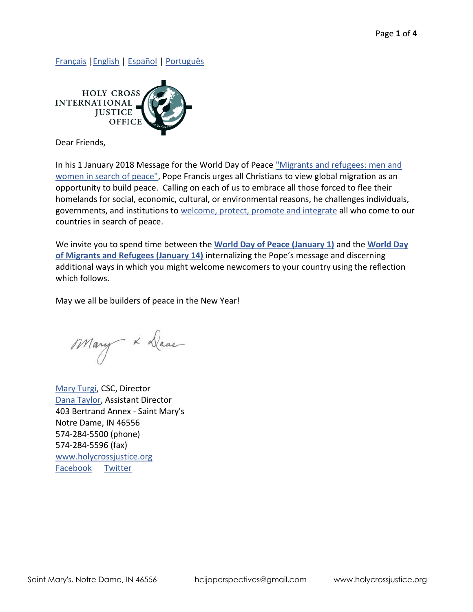[Français](http://www.holycrossjustice.org/resources/HCIJO%20Document%20Library/2018.peace.fr.pdf) [|English](http://www.holycrossjustice.org/resources/HCIJO%20Document%20Library/2018.peace.eng.pdf) | [Español](http://www.holycrossjustice.org/resources/HCIJO%20Document%20Library/2018.peace.esp.pdf) | [Português](http://www.holycrossjustice.org/resources/HCIJO%20Document%20Library/2018.peace.port.pdf)



Dear Friends,

In his 1 January 2018 Message for the World Day of Peace ["Migrants and refugees: men and](https://w2.vatican.va/content/francesco/en/messages/peace/documents/papa-francesco_20171113_messaggio-51giornatamondiale-pace2018.html)  [women in search of peace",](https://w2.vatican.va/content/francesco/en/messages/peace/documents/papa-francesco_20171113_messaggio-51giornatamondiale-pace2018.html) Pope Francis urges all Christians to view global migration as an opportunity to build peace. Calling on each of us to embrace all those forced to flee their homelands for social, economic, cultural, or environmental reasons, he challenges individuals, governments, and institutions to [welcome, protect, promote and integrate](https://drive.google.com/file/d/1J6C31Y-2Bt3l4U80vJfJkmpsVSamEYHH/view) all who come to our countries in search of peace.

We invite you to spend time between the **[World Day of Peace \(January 1\)](https://w2.vatican.va/content/francesco/en/messages/peace/documents/papa-francesco_20171113_messaggio-51giornatamondiale-pace2018.html)** and the **[World Day](http://w2.vatican.va/content/francesco/en/messages/migration/documents/papa-francesco_20170815_world-migrants-day-2018.html)  [of Migrants and Refugees \(January 14\)](http://w2.vatican.va/content/francesco/en/messages/migration/documents/papa-francesco_20170815_world-migrants-day-2018.html)** internalizing the Pope's message and discerning additional ways in which you might welcome newcomers to your country using the reflection which follows.

May we all be builders of peace in the New Year!

Mary x Dave

[Mary Turgi,](mailto:mturgi@cscsisters.org?subject=Christmas%202016%20Message) CSC, Director [Dana Taylor,](mailto:dtaylor@cscsisters.org?subject=Christmas%20Message%202016) Assistant Director 403 Bertrand Annex - Saint Mary's Notre Dame, IN 46556 574-284-5500 (phone) 574-284-5596 (fax) [www.holycrossjustice.org](http://www.holycrossjustice.org/) [Facebook](https://www.facebook.com/HCIJO/) [Twitter](https://twitter.com/HCIJO)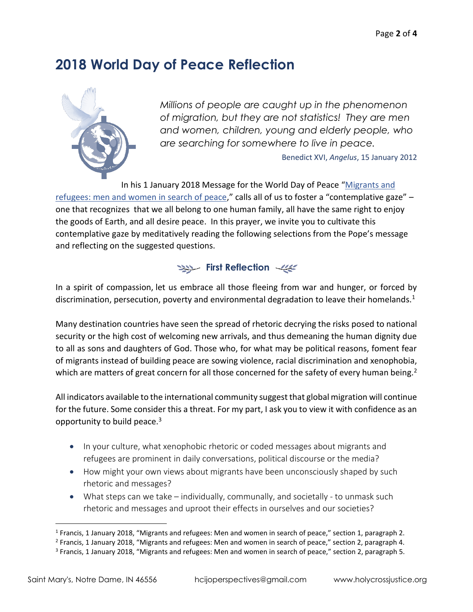## **2018 World Day of Peace Reflection**



*Millions of people are caught up in the phenomenon of migration, but they are not statistics! They are men and women, children, young and elderly people, who are searching for somewhere to live in peace.*

Benedict XVI, *Angelus*, 15 January 2012

In his 1 January 2018 Message for the World Day of Peace "[Migrants and](https://w2.vatican.va/content/francesco/en/messages/peace/documents/papa-francesco_20171113_messaggio-51giornatamondiale-pace2018.html) 

[refugees: men and women in search of peace,](https://w2.vatican.va/content/francesco/en/messages/peace/documents/papa-francesco_20171113_messaggio-51giornatamondiale-pace2018.html)" calls all of us to foster a "contemplative gaze" – one that recognizes that we all belong to one human family, all have the same right to enjoy the goods of Earth, and all desire peace. In this prayer, we invite you to cultivate this contemplative gaze by meditatively reading the following selections from the Pope's message and reflecting on the suggested questions.



In a spirit of compassion, let us embrace all those fleeing from war and hunger, or forced by discrimination, persecution, poverty and environmental degradation to leave their homelands.<sup>1</sup>

Many destination countries have seen the spread of rhetoric decrying the risks posed to national security or the high cost of welcoming new arrivals, and thus demeaning the human dignity due to all as sons and daughters of God. Those who, for what may be political reasons, foment fear of migrants instead of building peace are sowing violence, racial discrimination and xenophobia, which are matters of great concern for all those concerned for the safety of every human being.<sup>2</sup>

All indicators available to the international community suggest that global migration will continue for the future. Some consider this a threat. For my part, I ask you to view it with confidence as an opportunity to build peace.<sup>3</sup>

- In your culture, what xenophobic rhetoric or coded messages about migrants and refugees are prominent in daily conversations, political discourse or the media?
- How might your own views about migrants have been unconsciously shaped by such rhetoric and messages?
- What steps can we take individually, communally, and societally to unmask such rhetoric and messages and uproot their effects in ourselves and our societies?

 $\overline{a}$ 

<sup>&</sup>lt;sup>1</sup> Francis, 1 January 2018, "Migrants and refugees: Men and women in search of peace," section 1, paragraph 2.

<sup>&</sup>lt;sup>2</sup> Francis, 1 January 2018, "Migrants and refugees: Men and women in search of peace," section 2, paragraph 4.

<sup>&</sup>lt;sup>3</sup> Francis, 1 January 2018, "Migrants and refugees: Men and women in search of peace," section 2, paragraph 5.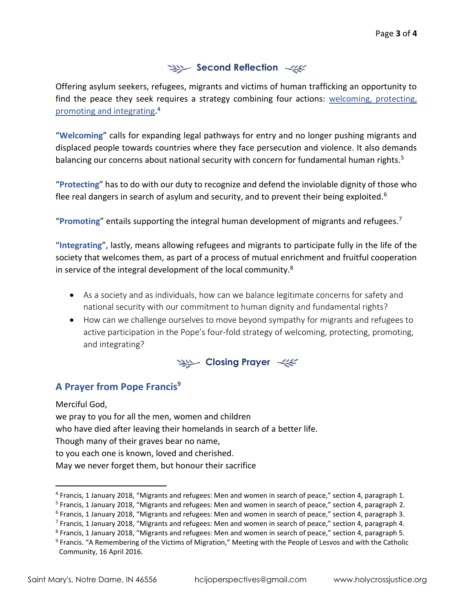## **Second Reflection**

Offering asylum seekers, refugees, migrants and victims of human trafficking an opportunity to find the peace they seek requires a strategy combining four actions: [welcoming, protecting,](https://drive.google.com/file/d/1J6C31Y-2Bt3l4U80vJfJkmpsVSamEYHH/view)  [promoting and integrating](https://drive.google.com/file/d/1J6C31Y-2Bt3l4U80vJfJkmpsVSamEYHH/view)**. 4**

"**Welcoming**" calls for expanding legal pathways for entry and no longer pushing migrants and displaced people towards countries where they face persecution and violence. It also demands balancing our concerns about national security with concern for fundamental human rights.<sup>5</sup>

"**Protecting**" has to do with our duty to recognize and defend the inviolable dignity of those who flee real dangers in search of asylum and security, and to prevent their being exploited.<sup>6</sup>

"**Promoting**" entails supporting the integral human development of migrants and refugees.<sup>7</sup>

"**Integrating**", lastly, means allowing refugees and migrants to participate fully in the life of the society that welcomes them, as part of a process of mutual enrichment and fruitful cooperation in service of the integral development of the local community. $8$ 

- As a society and as individuals, how can we balance legitimate concerns for safety and national security with our commitment to human dignity and fundamental rights?
- How can we challenge ourselves to move beyond sympathy for migrants and refugees to active participation in the Pope's four-fold strategy of welcoming, protecting, promoting, and integrating?



## **A Prayer from Pope Francis<sup>9</sup>**

Merciful God, we pray to you for all the men, women and children who have died after leaving their homelands in search of a better life. Though many of their graves bear no name, to you each one is known, loved and cherished. May we never forget them, but honour their sacrifice

 $\overline{a}$ 

<sup>&</sup>lt;sup>4</sup> Francis, 1 January 2018, "Migrants and refugees: Men and women in search of peace," section 4, paragraph 1.

<sup>&</sup>lt;sup>5</sup> Francis, 1 January 2018, "Migrants and refugees: Men and women in search of peace," section 4, paragraph 2.

<sup>6</sup> Francis, 1 January 2018, "Migrants and refugees: Men and women in search of peace," section 4, paragraph 3.

<sup>&</sup>lt;sup>7</sup> Francis, 1 January 2018, "Migrants and refugees: Men and women in search of peace," section 4, paragraph 4.

<sup>8</sup> Francis, 1 January 2018, "Migrants and refugees: Men and women in search of peace," section 4, paragraph 5.

<sup>&</sup>lt;sup>9</sup> Francis. "A Remembering of the Victims of Migration," Meeting with the People of Lesvos and with the Catholic Community, 16 April 2016.